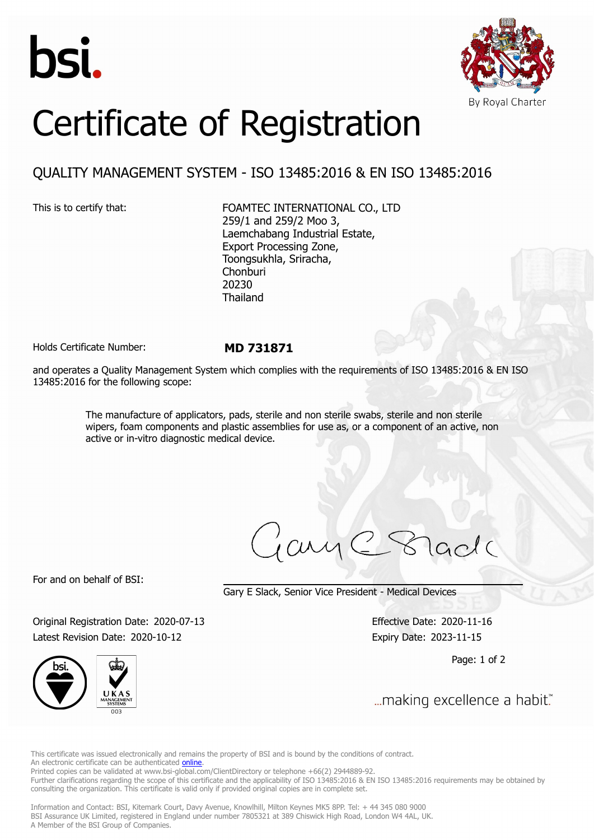



# Certificate of Registration

## QUALITY MANAGEMENT SYSTEM - ISO 13485:2016 & EN ISO 13485:2016

This is to certify that: FOAMTEC INTERNATIONAL CO., LTD 259/1 and 259/2 Moo 3, Laemchabang Industrial Estate, Export Processing Zone, Toongsukhla, Sriracha, Chonburi 20230 Thailand

Holds Certificate Number: **MD 731871**

and operates a Quality Management System which complies with the requirements of ISO 13485:2016 & EN ISO 13485:2016 for the following scope:

> The manufacture of applicators, pads, sterile and non sterile swabs, sterile and non sterile wipers, foam components and plastic assemblies for use as, or a component of an active, non active or in-vitro diagnostic medical device.

For and on behalf of BSI:

Gary E Slack, Senior Vice President - Medical Devices

Original Registration Date: 2020-07-13 Effective Date: 2020-11-16 Latest Revision Date: 2020-10-12 Expiry Date: 2023-11-15

Page: 1 of 2



... making excellence a habit."

This certificate was issued electronically and remains the property of BSI and is bound by the conditions of contract. An electronic certificate can be authenticated **[online](https://pgplus.bsigroup.com/CertificateValidation/CertificateValidator.aspx?CertificateNumber=MD+731871&ReIssueDate=12%2f10%2f2020&Template=thailand_en)** 

Printed copies can be validated at www.bsi-global.com/ClientDirectory or telephone +66(2) 2944889-92.

Further clarifications regarding the scope of this certificate and the applicability of ISO 13485:2016 & EN ISO 13485:2016 requirements may be obtained by consulting the organization. This certificate is valid only if provided original copies are in complete set.

Information and Contact: BSI, Kitemark Court, Davy Avenue, Knowlhill, Milton Keynes MK5 8PP. Tel: + 44 345 080 9000 BSI Assurance UK Limited, registered in England under number 7805321 at 389 Chiswick High Road, London W4 4AL, UK. A Member of the BSI Group of Companies.